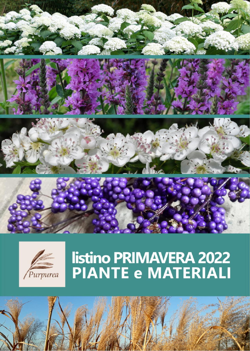



# listino PRIMAVERA 2022<br>PIANTE e MATERIALI

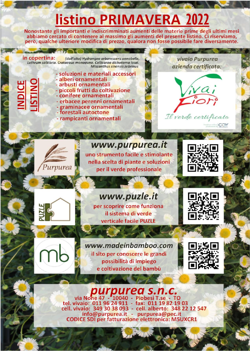## **listino PRIMAVERA 2022**

Nonostante gli importanti e indiscrimminati aumenti delle materie prime degli ultimi mesi abbiamo cercato di contenere al massimo gli aumenti del presente listino. Ci riserviamo, però, qualche ulteriore modifica di prezzo, qualora non fosse possibile fare diversamente.

#### in copertina: (dall'alto) Hydrangea arborescens annabelle, Lythrum salicaria. Crataeaus monoavna. Callicarpa dichotoma issai. Miscanthus sinensis zebrinus

- soluzioni e materiali accessori
- alberi ornamentali - arbusti ornamentali
	- piccoli frutti da coltivazione
	- conifere ornamentali
	- erbacee perenni ornamentali
	- graminacee ornamentali
	- forestali autoctone
	- rampicanti ornamentali



Il verde certificato

CQY

vivaio Purpurea

azienda certificata:

#### www.purpurea.it

uno strumento facile e stimolante nella scelta di piante e soluzioni per il verde professionale





Purpurea

**NDICE** 

www.puzle.it per scoprire come funziona

il sistema di verde verticale facile PUZLE



www.madeinbamboo.com il sito per conoscere le grandi possibilità di impiego e coltivazione del bambù



### **purpurea S.n.C.**<br>via None 47 - 10040 - Piobesi T.se - TO tel. vivaio: 011 96 24 911 - fax: 011 19 82 19 03

cell. vivaio: 349 30 38 093 - cell. alberto: 348 22 12 547<br>info@purpurea.it - purpurea@pec.it **CODICE SDI per fatturazione elettronica: M5UXCR1**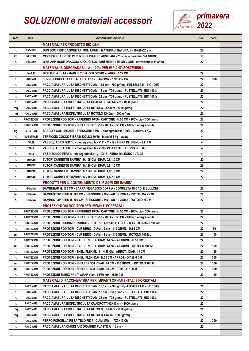## SOLUZIONI e materiali accessori  $\mathbb{Z}$  primavera



| и.т. | tipo              | descrizione articolo                                                            | <b>IVA</b> | conf. |  |
|------|-------------------|---------------------------------------------------------------------------------|------------|-------|--|
|      |                   | <b>MATERIALI PER PROGETTO BIO-LINK</b>                                          |            |       |  |
| n.   | <b>BIO-LINK</b>   | BUG BOX NIDIFICAZIONE API SOLITARIE - MATERIALI NATURALI - 60X40x20 cm          | 22         |       |  |
| kg   | <b>INERBIM.</b>   | MISCUGLIO FIORITO PER IMPOLLINATORI AUSILIARI - 25 specie perenni - 3-4 GR/MQ   | 10         |       |  |
| n.   | <b>BIO-LINK</b>   | WEB-APP MONITORAGGIO APOIDEI SOLITARI MEDIANTE QR CODE - attivazione e 1° anno  | 22         |       |  |
|      |                   | <b>MATERIALI BIODEGRADABILI AL 100% PER IMPIANTI SOSTENIBILI</b>                |            |       |  |
| n.   | <b>VARIE</b>      | BIOSTUOIA JUTA - MAGLIE 2 CM - 500 GR/MQ - LARGH. 1,22 CM                       | 22         |       |  |
| n.   | <b>PACCIAME</b>   | FERRO FORCELLA FISSA-TELO FE37 - DIAM.3MM - 17X3X17 CM                          | 22         | 300   |  |
| n.   | <b>PACCIAME</b>   | PACCIAMATURA JUTA DISCHETTI DIAM. 15,5 cm - 700 gr/mq - FUSTELLATI - BIO 100%   | 22         |       |  |
| n.   | <b>PACCIAME</b>   | PACCIAMATURA JUTA DISCHETTI DIAM. 18 cm - 700 gr/mq - FUSTELLATI - BIO 100%     | 22         |       |  |
| n.   | <b>PACCIAME</b>   | PACCIAMATURA JUTA DISCHETTI DIAM. 24 cm - 700 gr/mq - FUSTELLATI - BIO 100%     | 22         |       |  |
| n.   | <b>PACCIAME</b>   | PACCIAMATURA BIOFELTRO JUTA QUADROTTI 40X40 cm - 1000 gr/mq                     | 22         |       |  |
| mq   | <b>PACCIAME</b>   | PACCIAMATURA BIOFELTRO JUTA ROTOLO 0,5X40m - 1000 gr/mq                         | 22         |       |  |
| mq   | <b>PACCIAME</b>   | PACCIAMATURA BIOFELTRO JUTA ROTOLO 1X40m - 1000 gr/mq                           | 22         |       |  |
| n.   | <b>PROTEZIONI</b> | PROTEZIONI RODITORI - PAPERBIO 10/50 - CARTONE - H.50 CM - 100% bio - 350 gr/mq | 22         |       |  |
| n.   | <b>PROTEZIONI</b> | PROTEZIONI RODITORI - SHELTERBIO 10/50 - JUTA- H.50 CM - 100% biodegradabile    | 22         |       |  |
| kg   | <b>LEGATURE</b>   | SPAGO SISAL LEGARE - SPESSORE 2 MM - biodegradabile 100% - BOBINA 4 KG          | 22         |       |  |
| n.   | <b>SUBSTRATI</b>  | TERRICCIO COCCO FIBRA/MIDOLLO 50/50 - blocchi 5 kg - lavato                     | 4          |       |  |
| n.   | VASI              | VASO QUADRO FERTIL - biodegradabile - V.11X11X19 - FIBRA DI LEGNO - LT. 1,6     | 4          |       |  |
| n.   | VASI              | VASO QUADRO FERTIL - biodegradabile - V.9X9X9 - FIBRA DI LEGNO - LT. 0,5        | 4          |       |  |
| n.   | VASI              | VASO TONDO FERTIL - biodegradabile - V.10X18 - FIBRA DI LEGNO - LT. 0,8         | 4          |       |  |
| n.   | <b>TUTORI</b>     | TUTORI CANNETTE BAMBU' - H.105 CM - DIAM. 0,8/1,0 CM                            | 22         |       |  |
| n.   | <b>TUTORI</b>     | TUTORI CANNETTE BAMBU' - H.120 CM - DIAM. 0,8/1,0 CM                            | 22         |       |  |
| n.   | <b>TUTORI</b>     | TUTORI CANNETTE BAMBU' - H.150 CM - DIAM. 1,0/1,2 CM                            | 22         |       |  |
| n.   | TUTORI            | TUTORI CANNETTE BAMBU' - H.210 CM - DIAM. 1,8/2,0 CM                            | 22         |       |  |
|      |                   | <b>PRODOTTI PER IL CONTENIMENTO DEI RIZOMI DEI BAMBU'</b>                       |            |       |  |
| n.   | <b>GUAINA</b>     | BAMBUBAR H. 100 CM - BARRA FISSAGGIO DOPPIA - COMPLETA DI DADI E BULLONI        | 22         |       |  |
| ml   | <b>GUAINA</b>     | BAMBUSTOP PEHD H. 100 CM - SPESSORE 2 MM - ANTIRIZOMA - ROTOLI DA 25 ML         | 22         |       |  |
| n.   | GUAINA            | BAMBUSTOP PEHD H. 100 CM - SPESSORE 2 MM - ANTIRIZOMA - ROTOLO 200 M            | 22         |       |  |
|      |                   | <b>PROTEZIONI DAI RODITORI PER IMPIANTI FORESTALI</b>                           |            |       |  |
| n.   | <b>PROTEZIONI</b> | PROTEZIONI RODITORI - PAPERBIO 10/50 - CARTONE - H.50 CM - 100% bio - 350 gr/mq | 22         |       |  |
| n.   | <b>PROTEZIONI</b> | PROTEZIONI RODITORI - SHELTERBIO 10/50 - JUTA- H.50 CM - 100% biodegradabile    | 22         |       |  |
| n.   | <b>PROTEZIONI</b> | PROTEZIONI DISIDRAT. TRONCO - RETE P.P. ARROTOLABILE - H.15 CM - rotolo 100 mt  | 22         |       |  |
| n.   | <b>PROTEZIONI</b> | PROTEZIONI RODITORI - CVR NERO - DIAM. 12 cm - 110 GR/ML - H.60 CM              | 22         | 50    |  |
| ml   | <b>PROTEZIONI</b> | PROTEZIONI RODITORI - CVR NERO - DIAM. 12 cm - 110 GR/ML - ROTOLO 100 ML        | 22         | 100   |  |
| n.   | <b>PROTEZIONI</b> | PROTEZIONI RODITORI - RABBIT NERO - DIAM. 14 cm - 40 GR/ML - H.50 CM            | 22         |       |  |
| ml   | <b>PROTEZIONI</b> | PROTEZIONI RODITORI - RABBIT NERO - DIAM. 14 cm - 40 GR/ML - ROTOLO 100 M       | 22         | 100   |  |
| n.   | <b>PROTEZIONI</b> | PROTEZIONI RODITORI - SHEL. FLEX 55/11 - H.55 CM - ARROT. - DIAM. 11 CM         | 22         | 120   |  |
| n.   | <b>PROTEZIONI</b> | PROTEZIONI RODITORI - SHEL. FLEX 55/6 - H.55 CM - ARROT. DIAM. 6 CM             | 22         | 200   |  |
| ml   | <b>PROTEZIONI</b> | PROTEZIONI RODITORI - SHELTER 300 - DIAM. 20 CM - 150 GR/ML - ROTOLO 100 M      | 22         | 100   |  |
| ml   | <b>PROTEZIONI</b> | PROTEZIONI RODITORI - SHELTER 500 - DIAM. 30 CM - ROTOLO 100 M                  | 22         | 100   |  |
| n.   | <b>PROTEZIONI</b> | PROTEZIONI TUBEX FRUIT WRAP diam. 65/80 mm - H.60 CM                            | 22         | 150   |  |
|      |                   | <b>MATERIALI DI PACCIAMATURA PER IMPIANTI ORNAMENTALI E FORESTALI</b>           |            |       |  |
| n.   | <b>PACCIAME</b>   | PACCIAMATURA JUTA DISCHETTI DIAM. 15,5 cm - 700 gr/mq - FUSTELLATI - BIO 100%   | 22         |       |  |
| n.   | <b>PACCIAME</b>   | PACCIAMATURA JUTA DISCHETTI DIAM. 18 cm - 700 gr/mq - FUSTELLATI - BIO 100%     | 22         |       |  |
| n.   | <b>PACCIAME</b>   | PACCIAMATURA JUTA DISCHETTI DIAM. 24 cm - 700 gr/mq - FUSTELLATI - BIO 100%     | 22         |       |  |
| n.   | <b>PACCIAME</b>   | PACCIAMATURA BIOFELTRO JUTA QUADROTTI 40X40 cm - 1000 gr/mq                     | 22         |       |  |
| mq   | <b>PACCIAME</b>   | PACCIAMATURA BIOFELTRO JUTA ROTOLO 0,5X40m - 1000 gr/mq                         | 22         |       |  |
| mq   | <b>PACCIAME</b>   | PACCIAMATURA BIOFELTRO JUTA ROTOLO 1X40m - 1000 gr/mq                           | 22         |       |  |
| n.   | <b>PACCIAME</b>   | FERRO FORCELLA FISSA TELO FE37 - DIAM.3MM - 17X3X17 CM                          | 22         | 300   |  |
| n.   | <b>PACCIAME</b>   | PACCIAMATURA CHIODI ANCORAGGIO PLASTICA - 15 cm -                               | 22         |       |  |
|      |                   |                                                                                 |            |       |  |